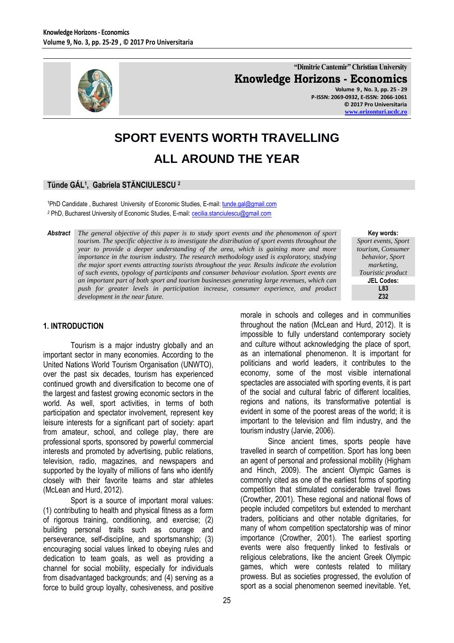

**"Dimitrie Cantemir" Christian University Knowledge Horizons - Economics Volume 9 , No. 3, pp. 25 - 29 P-ISSN: 2069-0932, E-ISSN: 2066-1061 © 2017 Pro Universitaria**

# **SPORT EVENTS WORTH TRAVELLING ALL AROUND THE YEAR**

## **Tünde GÁL<sup>1</sup> , Gabriela STĂNCIULESCU <sup>2</sup>**

<sup>1</sup>PhD Candidate , Bucharest University of Economic Studies, E-mail[: tunde.gal@gmail.com](mailto:tunde.gal@gmail.com) <sup>2</sup> PhD, Bucharest University of Economic Studies, E-mail[: cecilia.stanciulescu@gmail.com](mailto:cecilia.stanciulescu@gmail.com)

*Abstract The general objective of this paper is to study sport events and the phenomenon of sport tourism. The specific objective is to investigate the distribution of sport events throughout the year to provide a deeper understanding of the area, which is gaining more and more importance in the tourism industry. The research methodology used is exploratory, studying the major sport events attracting tourists throughout the year. Results indicate the evolution of such events, typology of participants and consumer behaviour evolution. Sport events are an important part of both sport and tourism businesses generating large revenues, which can push for greater levels in participation increase, consumer experience, and product development in the near future.*

### **1. INTRODUCTION**

Tourism is a major industry globally and an important sector in many economies. According to the United Nations World Tourism Organisation (UNWTO), over the past six decades, tourism has experienced continued growth and diversification to become one of the largest and fastest growing economic sectors in the world. As well, sport activities, in terms of both participation and spectator involvement, represent key leisure interests for a significant part of society: apart from amateur, school, and college play, there are professional sports, sponsored by powerful commercial interests and promoted by advertising, public relations, television, radio, magazines, and newspapers and supported by the loyalty of millions of fans who identify closely with their favorite teams and star athletes (McLean and Hurd, 2012).

Sport is a source of important moral values: (1) contributing to health and physical fitness as a form of rigorous training, conditioning, and exercise; (2) building personal traits such as courage and perseverance, self-discipline, and sportsmanship; (3) encouraging social values linked to obeying rules and dedication to team goals, as well as providing a channel for social mobility, especially for individuals from disadvantaged backgrounds; and (4) serving as a force to build group loyalty, cohesiveness, and positive

**Key words:** *Sport events, Sport tourism, Consumer behavior, Sport marketing, Touristic product* **JEL Codes: L83 Z32**

**[www.orizonturi.ucdc.ro](http://www.orizonturi.ucdc.ro/)**

morale in schools and colleges and in communities throughout the nation (McLean and Hurd, 2012). It is impossible to fully understand contemporary society and culture without acknowledging the place of sport, as an international phenomenon. It is important for politicians and world leaders, it contributes to the economy, some of the most visible international spectacles are associated with sporting events, it is part of the social and cultural fabric of different localities, regions and nations, its transformative potential is evident in some of the poorest areas of the world; it is important to the television and film industry, and the tourism industry (Jarvie, 2006).

Since ancient times, sports people have travelled in search of competition. Sport has long been an agent of personal and professional mobility (Higham and Hinch, 2009). The ancient Olympic Games is commonly cited as one of the earliest forms of sporting competition that stimulated considerable travel flows (Crowther, 2001). These regional and national flows of people included competitors but extended to merchant traders, politicians and other notable dignitaries, for many of whom competition spectatorship was of minor importance (Crowther, 2001). The earliest sporting events were also frequently linked to festivals or religious celebrations, like the ancient Greek Olympic games, which were contests related to military prowess. But as societies progressed, the evolution of sport as a social phenomenon seemed inevitable. Yet,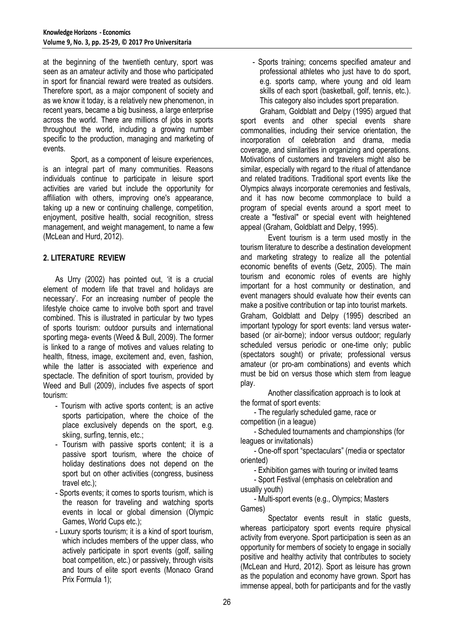at the beginning of the twentieth century, sport was seen as an amateur activity and those who participated in sport for financial reward were treated as outsiders. Therefore sport, as a major component of society and as we know it today, is a relatively new phenomenon, in recent years, became a big business, a large enterprise across the world. There are millions of jobs in sports throughout the world, including a growing number specific to the production, managing and marketing of events.

Sport, as a component of leisure experiences, is an integral part of many communities. Reasons individuals continue to participate in leisure sport activities are varied but include the opportunity for affiliation with others, improving one's appearance, taking up a new or continuing challenge, competition, enjoyment, positive health, social recognition, stress management, and weight management, to name a few (McLean and Hurd, 2012).

## **2. LITERATURE REVIEW**

As Urry (2002) has pointed out, 'it is a crucial element of modern life that travel and holidays are necessary'. For an increasing number of people the lifestyle choice came to involve both sport and travel combined. This is illustrated in particular by two types of sports tourism: outdoor pursuits and international sporting mega- events (Weed & Bull, 2009). The former is linked to a range of motives and values relating to health, fitness, image, excitement and, even, fashion, while the latter is associated with experience and spectacle. The definition of sport tourism, provided by Weed and Bull (2009), includes five aspects of sport tourism:

- Tourism with active sports content; is an active sports participation, where the choice of the place exclusively depends on the sport, e.g. skiing, surfing, tennis, etc.;
- Tourism with passive sports content; it is a passive sport tourism, where the choice of holiday destinations does not depend on the sport but on other activities (congress, business travel etc.);
- Sports events; it comes to sports tourism, which is the reason for traveling and watching sports events in local or global dimension (Olympic Games, World Cups etc.);
- Luxury sports tourism; it is a kind of sport tourism, which includes members of the upper class, who actively participate in sport events (golf, sailing boat competition, etc.) or passively, through visits and tours of elite sport events (Monaco Grand Prix Formula 1);

- Sports training; concerns specified amateur and professional athletes who just have to do sport, e.g. sports camp, where young and old learn skills of each sport (basketball, golf, tennis, etc.). This category also includes sport preparation.

Graham, Goldblatt and Delpy (1995) argued that sport events and other special events share commonalities, including their service orientation, the incorporation of celebration and drama, media coverage, and similarities in organizing and operations. Motivations of customers and travelers might also be similar, especially with regard to the ritual of attendance and related traditions. Traditional sport events like the Olympics always incorporate ceremonies and festivals, and it has now become commonplace to build a program of special events around a sport meet to create a "festival" or special event with heightened appeal (Graham, Goldblatt and Delpy, 1995).

Event tourism is a term used mostly in the tourism literature to describe a destination development and marketing strategy to realize all the potential economic benefits of events (Getz, 2005). The main tourism and economic roles of events are highly important for a host community or destination, and event managers should evaluate how their events can make a positive contribution or tap into tourist markets. Graham, Goldblatt and Delpy (1995) described an important typology for sport events: land versus waterbased (or air-borne); indoor versus outdoor; regularly scheduled versus periodic or one-time only; public (spectators sought) or private; professional versus amateur (or pro-am combinations) and events which must be bid on versus those which stem from league play.

Another classification approach is to look at the format of sport events:

- The regularly scheduled game, race or competition (in a league)

- Scheduled tournaments and championships (for leagues or invitationals)

- One-off sport "spectaculars" (media or spectator oriented)

- Exhibition games with touring or invited teams

- Sport Festival (emphasis on celebration and usually youth)

- Multi-sport events (e.g., Olympics; Masters Games)

Spectator events result in static guests, whereas participatory sport events require physical activity from everyone. Sport participation is seen as an opportunity for members of society to engage in socially positive and healthy activity that contributes to society (McLean and Hurd, 2012). Sport as leisure has grown as the population and economy have grown. Sport has immense appeal, both for participants and for the vastly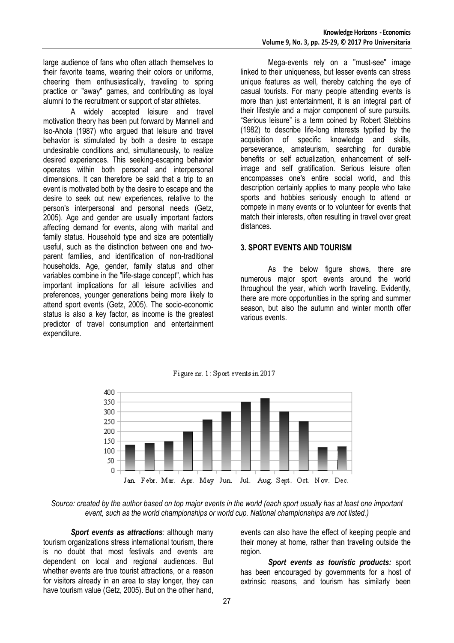large audience of fans who often attach themselves to their favorite teams, wearing their colors or uniforms, cheering them enthusiastically, traveling to spring practice or "away" games, and contributing as loyal alumni to the recruitment or support of star athletes.

A widely accepted leisure and travel motivation theory has been put forward by Mannell and Iso-Ahola (1987) who argued that leisure and travel behavior is stimulated by both a desire to escape undesirable conditions and, simultaneously, to realize desired experiences. This seeking-escaping behavior operates within both personal and interpersonal dimensions. It can therefore be said that a trip to an event is motivated both by the desire to escape and the desire to seek out new experiences, relative to the person's interpersonal and personal needs (Getz, 2005). Age and gender are usually important factors affecting demand for events, along with marital and family status. Household type and size are potentially useful, such as the distinction between one and twoparent families, and identification of non-traditional households. Age, gender, family status and other variables combine in the "life-stage concept", which has important implications for all leisure activities and preferences, younger generations being more likely to attend sport events (Getz, 2005). The socio-economic status is also a key factor, as income is the greatest predictor of travel consumption and entertainment expenditure.

Mega-events rely on a "must-see" image linked to their uniqueness, but lesser events can stress unique features as well, thereby catching the eye of casual tourists. For many people attending events is more than just entertainment, it is an integral part of their lifestyle and a major component of sure pursuits. "Serious leisure" is a term coined by Robert Stebbins (1982) to describe life-long interests typified by the acquisition of specific knowledge and skills, perseverance, amateurism, searching for durable benefits or self actualization, enhancement of selfimage and self gratification. Serious leisure often encompasses one's entire social world, and this description certainly applies to many people who take sports and hobbies seriously enough to attend or compete in many events or to volunteer for events that match their interests, often resulting in travel over great distances.

### **3. SPORT EVENTS AND TOURISM**

As the below figure shows, there are numerous major sport events around the world throughout the year, which worth traveling. Evidently, there are more opportunities in the spring and summer season, but also the autumn and winter month offer various events.



Figure nr. 1: Sport events in 2017

*Source: created by the author based on top major events in the world (each sport usually has at least one important event, such as the world championships or world cup. National championships are not listed.)*

**Sport events as attractions**: although many tourism organizations stress international tourism, there is no doubt that most festivals and events are dependent on local and regional audiences. But whether events are true tourist attractions, or a reason for visitors already in an area to stay longer, they can have tourism value (Getz, 2005). But on the other hand,

events can also have the effect of keeping people and their money at home, rather than traveling outside the region.

*Sport events as touristic products:* sport has been encouraged by governments for a host of extrinsic reasons, and tourism has similarly been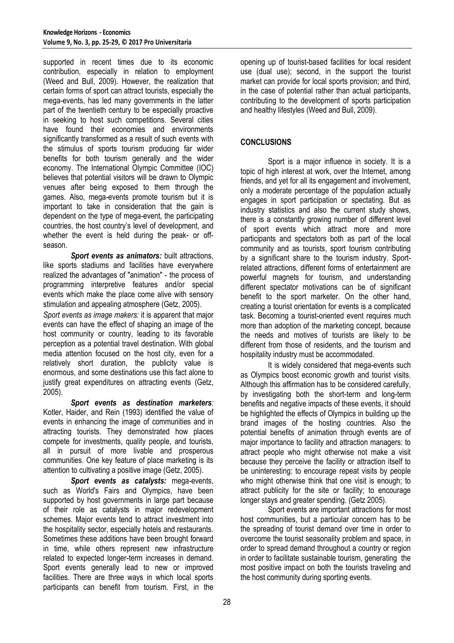supported in recent times due to its economic contribution, especially in relation to employment (Weed and Bull, 2009). However, the realization that certain forms of sport can attract tourists, especially the mega-events, has led many governments in the latter part of the twentieth century to be especially proactive in seeking to host such competitions. Several cities have found their economies and environments significantly transformed as a result of such events with the stimulus of sports tourism producing far wider benefits for both tourism generally and the wider economy. The International Olympic Committee (IOC) believes that potential visitors will be drawn to Olympic venues after being exposed to them through the games. Also, mega-events promote tourism but it is important to take in consideration that the gain is dependent on the type of mega-event, the participating countries, the host country's level of development, and whether the event is held during the peak- or offseason.

*Sport events as animators:* built attractions, like sports stadiums and facilities have everywhere realized the advantages of "animation" - the process of programming interpretive features and/or special events which make the place come alive with sensory stimulation and appealing atmosphere (Getz, 2005).

*Sport events as image makers:* it is apparent that major events can have the effect of shaping an image of the host community or country, leading to its favorable perception as a potential travel destination. With global media attention focused on the host city, even for a relatively short duration, the publicity value is enormous, and some destinations use this fact alone to justify great expenditures on attracting events (Getz, 2005).

*Sport events as destination marketers:* Kotler, Haider, and Rein (1993) identified the value of events in enhancing the image of communities and in attracting tourists. They demonstrated how places compete for investments, quality people, and tourists, all in pursuit of more livable and prosperous communities. One key feature of place marketing is its attention to cultivating a positive image (Getz, 2005).

*Sport events as catalysts:* mega-events, such as World's Fairs and Olympics, have been supported by host governments in large part because of their role as catalysts in major redevelopment schemes. Major events tend to attract investment into the hospitality sector, especially hotels and restaurants. Sometimes these additions have been brought forward in time, while others represent new infrastructure related to expected longer-term increases in demand. Sport events generally lead to new or improved facilities. There are three ways in which local sports participants can benefit from tourism. First, in the

opening up of tourist-based facilities for local resident use (dual use); second, in the support the tourist market can provide for local sports provision; and third, in the case of potential rather than actual participants, contributing to the development of sports participation and healthy lifestyles (Weed and Bull, 2009).

# **CONCLUSIONS**

Sport is a major influence in society. It is a topic of high interest at work, over the Internet, among friends, and yet for all its engagement and involvement, only a moderate percentage of the population actually engages in sport participation or spectating. But as industry statistics and also the current study shows, there is a constantly growing number of different level of sport events which attract more and more participants and spectators both as part of the local community and as tourists, sport tourism contributing by a significant share to the tourism industry. Sportrelated attractions, different forms of entertainment are powerful magnets for tourism, and understanding different spectator motivations can be of significant benefit to the sport marketer. On the other hand, creating a tourist orientation for events is a complicated task. Becoming a tourist-oriented event requires much more than adoption of the marketing concept, because the needs and motives of tourists are likely to be different from those of residents, and the tourism and hospitality industry must be accommodated.

It is widely considered that mega-events such as Olympics boost economic growth and tourist visits. Although this affirmation has to be considered carefully, by investigating both the short-term and long-term benefits and negative impacts of these events, it should be highlighted the effects of Olympics in building up the brand images of the hosting countries. Also the potential benefits of animation through events are of major importance to facility and attraction managers: to attract people who might otherwise not make a visit because they perceive the facility or attraction itself to be uninteresting: to encourage repeat visits by people who might otherwise think that one visit is enough; to attract publicity for the site or facility; to encourage longer stays and greater spending. (Getz 2005).

Sport events are important attractions for most host communities, but a particular concern has to be the spreading of tourist demand over time in order to overcome the tourist seasonality problem and space, in order to spread demand throughout a country or region in order to facilitate sustainable tourism, generating the most positive impact on both the tourists traveling and the host community during sporting events.